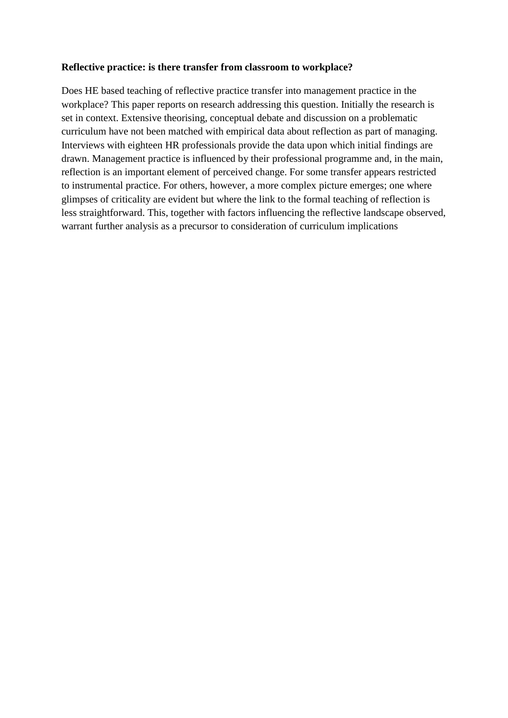### **Reflective practice: is there transfer from classroom to workplace?**

Does HE based teaching of reflective practice transfer into management practice in the workplace? This paper reports on research addressing this question. Initially the research is set in context. Extensive theorising, conceptual debate and discussion on a problematic curriculum have not been matched with empirical data about reflection as part of managing. Interviews with eighteen HR professionals provide the data upon which initial findings are drawn. Management practice is influenced by their professional programme and, in the main, reflection is an important element of perceived change. For some transfer appears restricted to instrumental practice. For others, however, a more complex picture emerges; one where glimpses of criticality are evident but where the link to the formal teaching of reflection is less straightforward. This, together with factors influencing the reflective landscape observed, warrant further analysis as a precursor to consideration of curriculum implications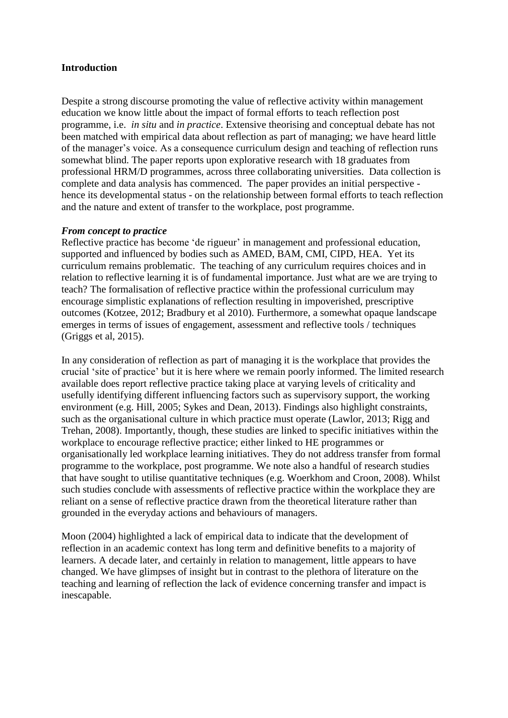## **Introduction**

Despite a strong discourse promoting the value of reflective activity within management education we know little about the impact of formal efforts to teach reflection post programme, i.e. *in situ* and *in practice*. Extensive theorising and conceptual debate has not been matched with empirical data about reflection as part of managing; we have heard little of the manager's voice. As a consequence curriculum design and teaching of reflection runs somewhat blind. The paper reports upon explorative research with 18 graduates from professional HRM/D programmes, across three collaborating universities. Data collection is complete and data analysis has commenced. The paper provides an initial perspective hence its developmental status - on the relationship between formal efforts to teach reflection and the nature and extent of transfer to the workplace, post programme.

### *From concept to practice*

Reflective practice has become 'de rigueur' in management and professional education, supported and influenced by bodies such as AMED, BAM, CMI, CIPD, HEA. Yet its curriculum remains problematic. The teaching of any curriculum requires choices and in relation to reflective learning it is of fundamental importance. Just what are we are trying to teach? The formalisation of reflective practice within the professional curriculum may encourage simplistic explanations of reflection resulting in impoverished, prescriptive outcomes (Kotzee, 2012; Bradbury et al 2010). Furthermore, a somewhat opaque landscape emerges in terms of issues of engagement, assessment and reflective tools / techniques (Griggs et al, 2015).

In any consideration of reflection as part of managing it is the workplace that provides the crucial 'site of practice' but it is here where we remain poorly informed. The limited research available does report reflective practice taking place at varying levels of criticality and usefully identifying different influencing factors such as supervisory support, the working environment (e.g. Hill, 2005; Sykes and Dean, 2013). Findings also highlight constraints, such as the organisational culture in which practice must operate (Lawlor, 2013; Rigg and Trehan, 2008). Importantly, though, these studies are linked to specific initiatives within the workplace to encourage reflective practice; either linked to HE programmes or organisationally led workplace learning initiatives. They do not address transfer from formal programme to the workplace, post programme. We note also a handful of research studies that have sought to utilise quantitative techniques (e.g. Woerkhom and Croon, 2008). Whilst such studies conclude with assessments of reflective practice within the workplace they are reliant on a sense of reflective practice drawn from the theoretical literature rather than grounded in the everyday actions and behaviours of managers.

Moon (2004) highlighted a lack of empirical data to indicate that the development of reflection in an academic context has long term and definitive benefits to a majority of learners. A decade later, and certainly in relation to management, little appears to have changed. We have glimpses of insight but in contrast to the plethora of literature on the teaching and learning of reflection the lack of evidence concerning transfer and impact is inescapable.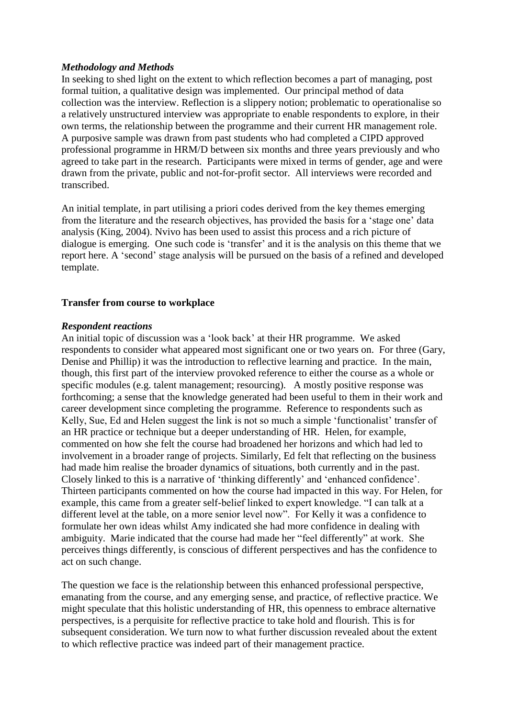### *Methodology and Methods*

In seeking to shed light on the extent to which reflection becomes a part of managing, post formal tuition, a qualitative design was implemented. Our principal method of data collection was the interview. Reflection is a slippery notion; problematic to operationalise so a relatively unstructured interview was appropriate to enable respondents to explore, in their own terms, the relationship between the programme and their current HR management role. A purposive sample was drawn from past students who had completed a CIPD approved professional programme in HRM/D between six months and three years previously and who agreed to take part in the research. Participants were mixed in terms of gender, age and were drawn from the private, public and not-for-profit sector. All interviews were recorded and transcribed.

An initial template, in part utilising a priori codes derived from the key themes emerging from the literature and the research objectives, has provided the basis for a 'stage one' data analysis (King, 2004). Nvivo has been used to assist this process and a rich picture of dialogue is emerging. One such code is 'transfer' and it is the analysis on this theme that we report here. A 'second' stage analysis will be pursued on the basis of a refined and developed template.

## **Transfer from course to workplace**

### *Respondent reactions*

An initial topic of discussion was a 'look back' at their HR programme. We asked respondents to consider what appeared most significant one or two years on. For three (Gary, Denise and Phillip) it was the introduction to reflective learning and practice. In the main, though, this first part of the interview provoked reference to either the course as a whole or specific modules (e.g. talent management; resourcing). A mostly positive response was forthcoming; a sense that the knowledge generated had been useful to them in their work and career development since completing the programme. Reference to respondents such as Kelly, Sue, Ed and Helen suggest the link is not so much a simple 'functionalist' transfer of an HR practice or technique but a deeper understanding of HR. Helen, for example, commented on how she felt the course had broadened her horizons and which had led to involvement in a broader range of projects. Similarly, Ed felt that reflecting on the business had made him realise the broader dynamics of situations, both currently and in the past. Closely linked to this is a narrative of 'thinking differently' and 'enhanced confidence'. Thirteen participants commented on how the course had impacted in this way. For Helen, for example, this came from a greater self-belief linked to expert knowledge. "I can talk at a different level at the table, on a more senior level now". For Kelly it was a confidence to formulate her own ideas whilst Amy indicated she had more confidence in dealing with ambiguity. Marie indicated that the course had made her "feel differently" at work. She perceives things differently, is conscious of different perspectives and has the confidence to act on such change.

The question we face is the relationship between this enhanced professional perspective, emanating from the course, and any emerging sense, and practice, of reflective practice. We might speculate that this holistic understanding of HR, this openness to embrace alternative perspectives, is a perquisite for reflective practice to take hold and flourish. This is for subsequent consideration. We turn now to what further discussion revealed about the extent to which reflective practice was indeed part of their management practice.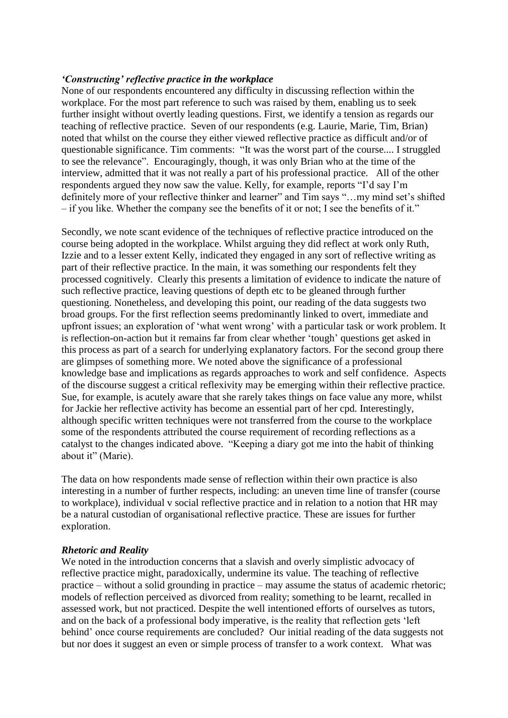### *'Constructing' reflective practice in the workplace*

None of our respondents encountered any difficulty in discussing reflection within the workplace. For the most part reference to such was raised by them, enabling us to seek further insight without overtly leading questions. First, we identify a tension as regards our teaching of reflective practice. Seven of our respondents (e.g. Laurie, Marie, Tim, Brian) noted that whilst on the course they either viewed reflective practice as difficult and/or of questionable significance. Tim comments: "It was the worst part of the course.... I struggled to see the relevance". Encouragingly, though, it was only Brian who at the time of the interview, admitted that it was not really a part of his professional practice. All of the other respondents argued they now saw the value. Kelly, for example, reports "I'd say I'm definitely more of your reflective thinker and learner" and Tim says "…my mind set's shifted – if you like. Whether the company see the benefits of it or not; I see the benefits of it."

Secondly, we note scant evidence of the techniques of reflective practice introduced on the course being adopted in the workplace. Whilst arguing they did reflect at work only Ruth, Izzie and to a lesser extent Kelly, indicated they engaged in any sort of reflective writing as part of their reflective practice. In the main, it was something our respondents felt they processed cognitively. Clearly this presents a limitation of evidence to indicate the nature of such reflective practice, leaving questions of depth etc to be gleaned through further questioning. Nonetheless, and developing this point, our reading of the data suggests two broad groups. For the first reflection seems predominantly linked to overt, immediate and upfront issues; an exploration of 'what went wrong' with a particular task or work problem. It is reflection-on-action but it remains far from clear whether 'tough' questions get asked in this process as part of a search for underlying explanatory factors. For the second group there are glimpses of something more. We noted above the significance of a professional knowledge base and implications as regards approaches to work and self confidence. Aspects of the discourse suggest a critical reflexivity may be emerging within their reflective practice. Sue, for example, is acutely aware that she rarely takes things on face value any more, whilst for Jackie her reflective activity has become an essential part of her cpd. Interestingly, although specific written techniques were not transferred from the course to the workplace some of the respondents attributed the course requirement of recording reflections as a catalyst to the changes indicated above. "Keeping a diary got me into the habit of thinking about it" (Marie).

The data on how respondents made sense of reflection within their own practice is also interesting in a number of further respects, including: an uneven time line of transfer (course to workplace), individual v social reflective practice and in relation to a notion that HR may be a natural custodian of organisational reflective practice. These are issues for further exploration.

### *Rhetoric and Reality*

We noted in the introduction concerns that a slavish and overly simplistic advocacy of reflective practice might, paradoxically, undermine its value. The teaching of reflective practice – without a solid grounding in practice – may assume the status of academic rhetoric; models of reflection perceived as divorced from reality; something to be learnt, recalled in assessed work, but not practiced. Despite the well intentioned efforts of ourselves as tutors, and on the back of a professional body imperative, is the reality that reflection gets 'left behind' once course requirements are concluded? Our initial reading of the data suggests not but nor does it suggest an even or simple process of transfer to a work context. What was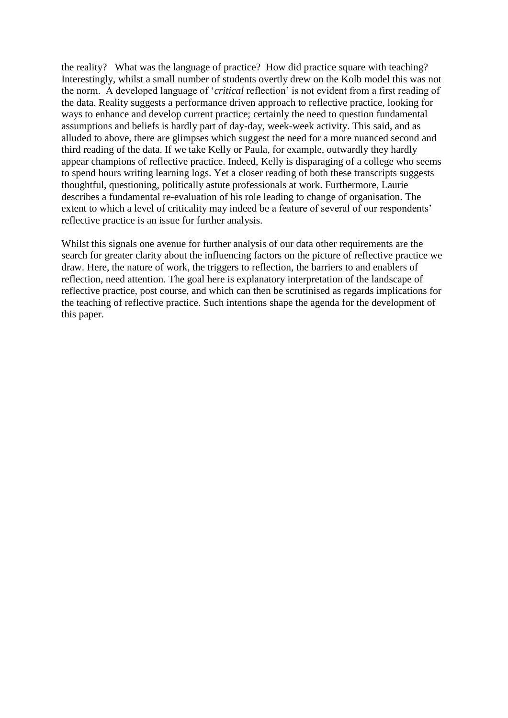the reality? What was the language of practice? How did practice square with teaching? Interestingly, whilst a small number of students overtly drew on the Kolb model this was not the norm. A developed language of '*critical* reflection' is not evident from a first reading of the data. Reality suggests a performance driven approach to reflective practice, looking for ways to enhance and develop current practice; certainly the need to question fundamental assumptions and beliefs is hardly part of day-day, week-week activity. This said, and as alluded to above, there are glimpses which suggest the need for a more nuanced second and third reading of the data. If we take Kelly or Paula, for example, outwardly they hardly appear champions of reflective practice. Indeed, Kelly is disparaging of a college who seems to spend hours writing learning logs. Yet a closer reading of both these transcripts suggests thoughtful, questioning, politically astute professionals at work. Furthermore, Laurie describes a fundamental re-evaluation of his role leading to change of organisation. The extent to which a level of criticality may indeed be a feature of several of our respondents' reflective practice is an issue for further analysis.

Whilst this signals one avenue for further analysis of our data other requirements are the search for greater clarity about the influencing factors on the picture of reflective practice we draw. Here, the nature of work, the triggers to reflection, the barriers to and enablers of reflection, need attention. The goal here is explanatory interpretation of the landscape of reflective practice, post course, and which can then be scrutinised as regards implications for the teaching of reflective practice. Such intentions shape the agenda for the development of this paper.